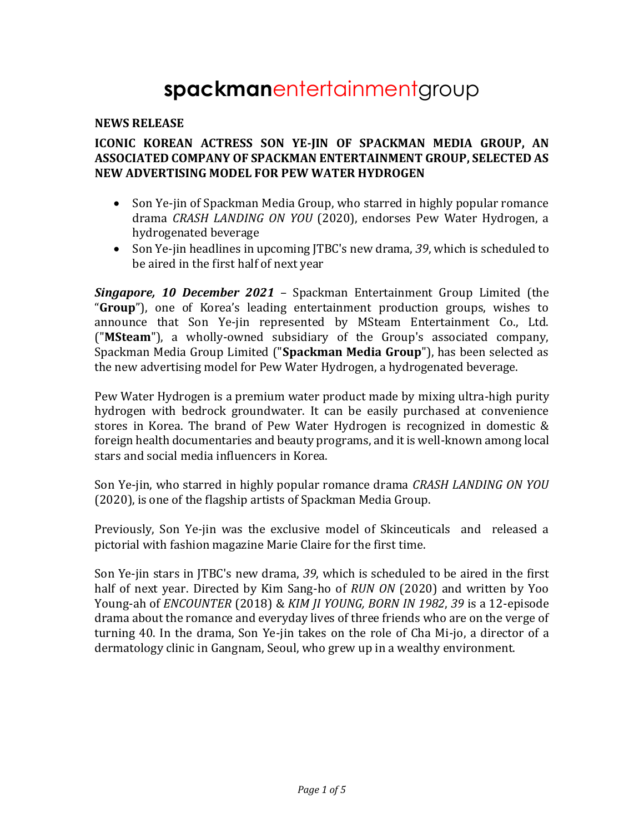# **spackman**entertainmentgroup

#### **NEWS RELEASE**

## **ICONIC KOREAN ACTRESS SON YE-JIN OF SPACKMAN MEDIA GROUP, AN ASSOCIATED COMPANY OF SPACKMAN ENTERTAINMENT GROUP, SELECTED AS NEW ADVERTISING MODEL FOR PEW WATER HYDROGEN**

- Son Ye-jin of Spackman Media Group, who starred in highly popular romance drama *CRASH LANDING ON YOU* (2020), endorses Pew Water Hydrogen, a hydrogenated beverage
- Son Ye-jin headlines in upcoming JTBC's new drama, *39*, which is scheduled to be aired in the first half of next year

*Singapore, 10 December 2021* – Spackman Entertainment Group Limited (the "**Group**"), one of Korea's leading entertainment production groups, wishes to announce that Son Ye-jin represented by MSteam Entertainment Co., Ltd. ("**MSteam**"), a wholly-owned subsidiary of the Group's associated company, Spackman Media Group Limited ("**Spackman Media Group**"), has been selected as the new advertising model for Pew Water Hydrogen, a hydrogenated beverage.

Pew Water Hydrogen is a premium water product made by mixing ultra-high purity hydrogen with bedrock groundwater. It can be easily purchased at convenience stores in Korea. The brand of Pew Water Hydrogen is recognized in domestic & foreign health documentaries and beauty programs, and it is well-known among local stars and social media influencers in Korea.

Son Ye-jin, who starred in highly popular romance drama *CRASH LANDING ON YOU* (2020), is one of the flagship artists of Spackman Media Group.

Previously, Son Ye-jin was the exclusive model of Skinceuticals and released a pictorial with fashion magazine Marie Claire for the first time.

Son Ye-jin stars in JTBC's new drama, *39*, which is scheduled to be aired in the first half of next year. Directed by Kim Sang-ho of *RUN ON* (2020) and written by Yoo Young-ah of *ENCOUNTER* (2018) & *KIM JI YOUNG, BORN IN 1982*, *39* is a 12-episode drama about the romance and everyday lives of three friends who are on the verge of turning 40. In the drama, Son Ye-jin takes on the role of Cha Mi-jo, a director of a dermatology clinic in Gangnam, Seoul, who grew up in a wealthy environment.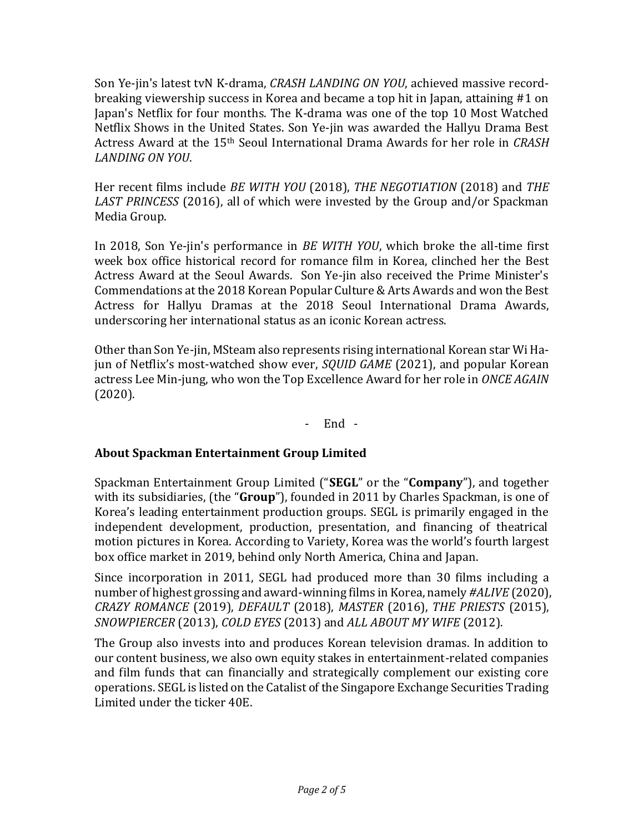Son Ye-jin's latest tvN K-drama, *CRASH LANDING ON YOU*, achieved massive recordbreaking viewership success in Korea and became a top hit in Japan, attaining #1 on Japan's Netflix for four months. The K-drama was one of the top 10 Most Watched Netflix Shows in the United States. Son Ye-jin was awarded the Hallyu Drama Best Actress Award at the 15th Seoul International Drama Awards for her role in *CRASH LANDING ON YOU*.

Her recent films include *BE WITH YOU* (2018), *THE NEGOTIATION* (2018) and *THE LAST PRINCESS* (2016), all of which were invested by the Group and/or Spackman Media Group.

In 2018, Son Ye-jin's performance in *BE WITH YOU*, which broke the all-time first week box office historical record for romance film in Korea, clinched her the Best Actress Award at the Seoul Awards. Son Ye-jin also received the Prime Minister's Commendations at the 2018 Korean Popular Culture & Arts Awards and won the Best Actress for Hallyu Dramas at the 2018 Seoul International Drama Awards, underscoring her international status as an iconic Korean actress.

Other than Son Ye-jin, MSteam also represents rising international Korean star Wi Hajun of Netflix's most-watched show ever, *SQUID GAME* (2021), and popular Korean actress Lee Min-jung, who won the Top Excellence Award for her role in *ONCE AGAIN* (2020).

- End -

# **About Spackman Entertainment Group Limited**

Spackman Entertainment Group Limited ("**SEGL**" or the "**Company**"), and together with its subsidiaries, (the "**Group**"), founded in 2011 by Charles Spackman, is one of Korea's leading entertainment production groups. SEGL is primarily engaged in the independent development, production, presentation, and financing of theatrical motion pictures in Korea. According to Variety, Korea was the world's fourth largest box office market in 2019, behind only North America, China and Japan.

Since incorporation in 2011, SEGL had produced more than 30 films including a number of highest grossing and award-winning films in Korea, namely *#ALIVE* (2020), *CRAZY ROMANCE* (2019), *DEFAULT* (2018), *MASTER* (2016), *THE PRIESTS* (2015), *SNOWPIERCER* (2013), *COLD EYES* (2013) and *ALL ABOUT MY WIFE* (2012).

The Group also invests into and produces Korean television dramas. In addition to our content business, we also own equity stakes in entertainment-related companies and film funds that can financially and strategically complement our existing core operations. SEGL is listed on the Catalist of the Singapore Exchange Securities Trading Limited under the ticker 40E.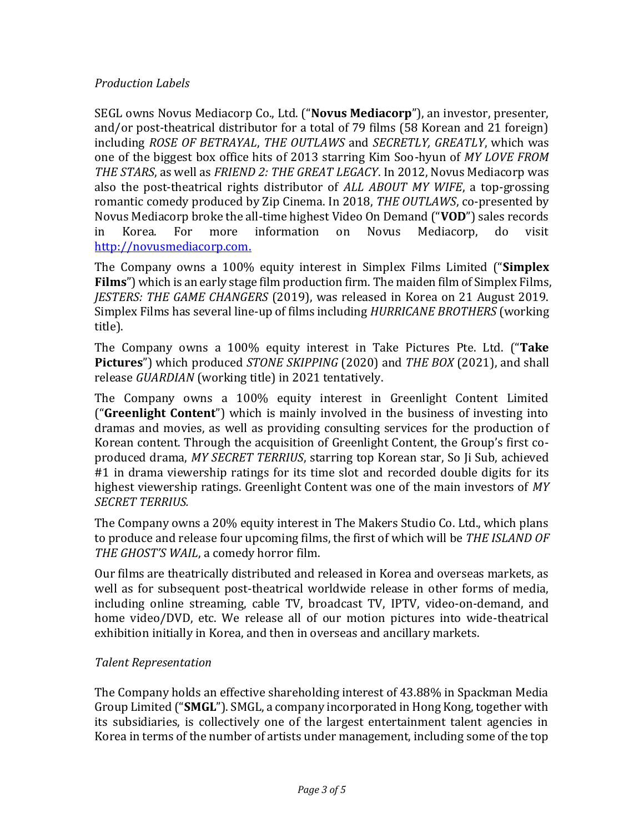## *Production Labels*

SEGL owns Novus Mediacorp Co., Ltd. ("**Novus Mediacorp**"), an investor, presenter, and/or post-theatrical distributor for a total of 79 films (58 Korean and 21 foreign) including *ROSE OF BETRAYAL*, *THE OUTLAWS* and *SECRETLY, GREATLY*, which was one of the biggest box office hits of 2013 starring Kim Soo-hyun of *MY LOVE FROM THE STARS*, as well as *FRIEND 2: THE GREAT LEGACY*. In 2012, Novus Mediacorp was also the post-theatrical rights distributor of *ALL ABOUT MY WIFE*, a top-grossing romantic comedy produced by Zip Cinema. In 2018, *THE OUTLAWS*, co-presented by Novus Mediacorp broke the all-time highest Video On Demand ("**VOD**") sales records in Korea. For more information on Novus Mediacorp, do visit [http://novusmediacorp.com.](http://novusmediacorp.com/)

The Company owns a 100% equity interest in Simplex Films Limited ("**Simplex Films**") which is an early stage film production firm. The maiden film of Simplex Films, *JESTERS: THE GAME CHANGERS* (2019), was released in Korea on 21 August 2019. Simplex Films has several line-up of films including *HURRICANE BROTHERS* (working title).

The Company owns a 100% equity interest in Take Pictures Pte. Ltd. ("**Take Pictures**") which produced *STONE SKIPPING* (2020) and *THE BOX* (2021), and shall release *GUARDIAN* (working title) in 2021 tentatively.

The Company owns a 100% equity interest in Greenlight Content Limited ("**Greenlight Content**") which is mainly involved in the business of investing into dramas and movies, as well as providing consulting services for the production of Korean content. Through the acquisition of Greenlight Content, the Group's first coproduced drama, *MY SECRET TERRIUS*, starring top Korean star, So Ji Sub, achieved #1 in drama viewership ratings for its time slot and recorded double digits for its highest viewership ratings. Greenlight Content was one of the main investors of *MY SECRET TERRIUS.*

The Company owns a 20% equity interest in The Makers Studio Co. Ltd., which plans to produce and release four upcoming films, the first of which will be *THE ISLAND OF THE GHOST'S WAIL*, a comedy horror film.

Our films are theatrically distributed and released in Korea and overseas markets, as well as for subsequent post-theatrical worldwide release in other forms of media, including online streaming, cable TV, broadcast TV, IPTV, video-on-demand, and home video/DVD, etc. We release all of our motion pictures into wide-theatrical exhibition initially in Korea, and then in overseas and ancillary markets.

## *Talent Representation*

The Company holds an effective shareholding interest of 43.88% in Spackman Media Group Limited ("**SMGL**"). SMGL, a company incorporated in Hong Kong, together with its subsidiaries, is collectively one of the largest entertainment talent agencies in Korea in terms of the number of artists under management, including some of the top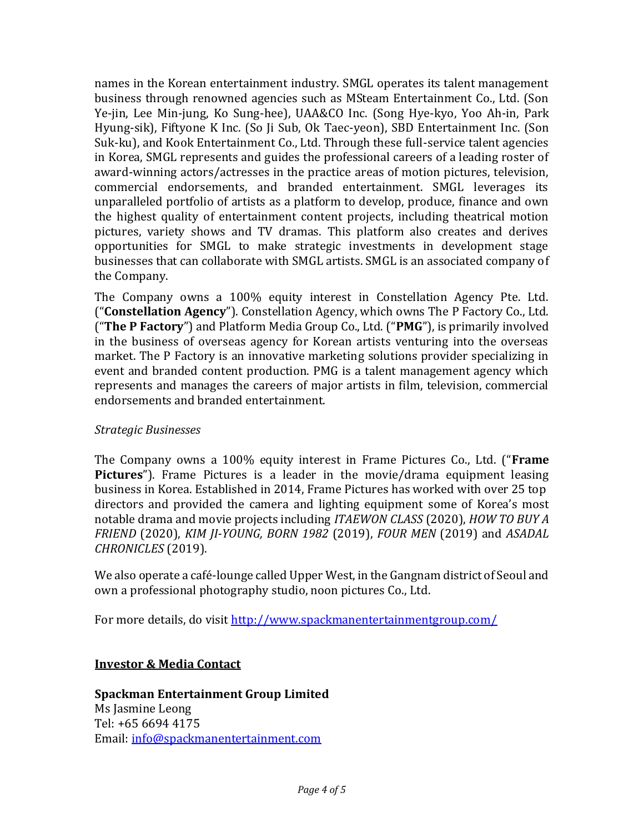names in the Korean entertainment industry. SMGL operates its talent management business through renowned agencies such as MSteam Entertainment Co., Ltd. (Son Ye-jin, Lee Min-jung, Ko Sung-hee), UAA&CO Inc. (Song Hye-kyo, Yoo Ah-in, Park Hyung-sik), Fiftyone K Inc. (So Ji Sub, Ok Taec-yeon), SBD Entertainment Inc. (Son Suk-ku), and Kook Entertainment Co., Ltd. Through these full-service talent agencies in Korea, SMGL represents and guides the professional careers of a leading roster of award-winning actors/actresses in the practice areas of motion pictures, television, commercial endorsements, and branded entertainment. SMGL leverages its unparalleled portfolio of artists as a platform to develop, produce, finance and own the highest quality of entertainment content projects, including theatrical motion pictures, variety shows and TV dramas. This platform also creates and derives opportunities for SMGL to make strategic investments in development stage businesses that can collaborate with SMGL artists. SMGL is an associated company of the Company.

The Company owns a 100% equity interest in Constellation Agency Pte. Ltd. ("**Constellation Agency**"). Constellation Agency, which owns The P Factory Co., Ltd. ("**The P Factory**") and Platform Media Group Co., Ltd. ("**PMG**"), is primarily involved in the business of overseas agency for Korean artists venturing into the overseas market. The P Factory is an innovative marketing solutions provider specializing in event and branded content production. PMG is a talent management agency which represents and manages the careers of major artists in film, television, commercial endorsements and branded entertainment.

## *Strategic Businesses*

The Company owns a 100% equity interest in Frame Pictures Co., Ltd. ("**Frame Pictures**"). Frame Pictures is a leader in the movie/drama equipment leasing business in Korea. Established in 2014, Frame Pictures has worked with over 25 top directors and provided the camera and lighting equipment some of Korea's most notable drama and movie projects including *ITAEWON CLASS* (2020), *HOW TO BUY A FRIEND* (2020), *KIM JI-YOUNG, BORN 1982* (2019), *FOUR MEN* (2019) and *ASADAL CHRONICLES* (2019).

We also operate a café-lounge called Upper West, in the Gangnam district of Seoul and own a professional photography studio, noon pictures Co., Ltd.

For more details, do visit<http://www.spackmanentertainmentgroup.com/>

# **Investor & Media Contact**

**Spackman Entertainment Group Limited** Ms Jasmine Leong Tel: +65 6694 4175 Email: [info@spackmanentertainment.com](mailto:info@spackmanentertainment.com)